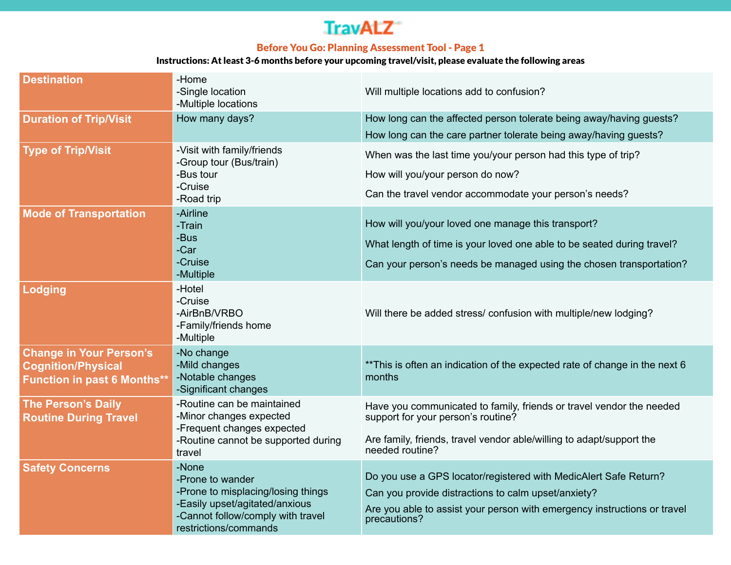# **TravALZ**

## Before You Go: Planning Assessment Tool - Page 1

#### Instructions: At least 3-6 months before your upcoming travel/visit, please evaluate the following areas

| <b>Destination</b>                                                                                | -Home<br>-Single location<br>-Multiple locations                                                                                                                | Will multiple locations add to confusion?                                                                                                                                                                           |
|---------------------------------------------------------------------------------------------------|-----------------------------------------------------------------------------------------------------------------------------------------------------------------|---------------------------------------------------------------------------------------------------------------------------------------------------------------------------------------------------------------------|
| <b>Duration of Trip/Visit</b>                                                                     | How many days?                                                                                                                                                  | How long can the affected person tolerate being away/having guests?<br>How long can the care partner tolerate being away/having guests?                                                                             |
| <b>Type of Trip/Visit</b>                                                                         | -Visit with family/friends<br>-Group tour (Bus/train)<br>-Bus tour<br>-Cruise<br>-Road trip                                                                     | When was the last time you/your person had this type of trip?<br>How will you/your person do now?<br>Can the travel vendor accommodate your person's needs?                                                         |
| <b>Mode of Transportation</b>                                                                     | -Airline<br>-Train<br>-Bus<br>-Car<br>-Cruise<br>-Multiple                                                                                                      | How will you/your loved one manage this transport?<br>What length of time is your loved one able to be seated during travel?<br>Can your person's needs be managed using the chosen transportation?                 |
| Lodging                                                                                           | -Hotel<br>-Cruise<br>-AirBnB/VRBO<br>-Family/friends home<br>-Multiple                                                                                          | Will there be added stress/ confusion with multiple/new lodging?                                                                                                                                                    |
| <b>Change in Your Person's</b><br><b>Cognition/Physical</b><br><b>Function in past 6 Months**</b> | -No change<br>-Mild changes<br>-Notable changes<br>-Significant changes                                                                                         | ** This is often an indication of the expected rate of change in the next 6<br>months                                                                                                                               |
| <b>The Person's Daily</b><br><b>Routine During Travel</b>                                         | -Routine can be maintained<br>-Minor changes expected<br>-Frequent changes expected<br>-Routine cannot be supported during<br>travel                            | Have you communicated to family, friends or travel vendor the needed<br>support for your person's routine?<br>Are family, friends, travel vendor able/willing to adapt/support the<br>needed routine?               |
| <b>Safety Concerns</b>                                                                            | -None<br>-Prone to wander<br>-Prone to misplacing/losing things<br>-Easily upset/agitated/anxious<br>-Cannot follow/comply with travel<br>restrictions/commands | Do you use a GPS locator/registered with MedicAlert Safe Return?<br>Can you provide distractions to calm upset/anxiety?<br>Are you able to assist your person with emergency instructions or travel<br>precautions? |